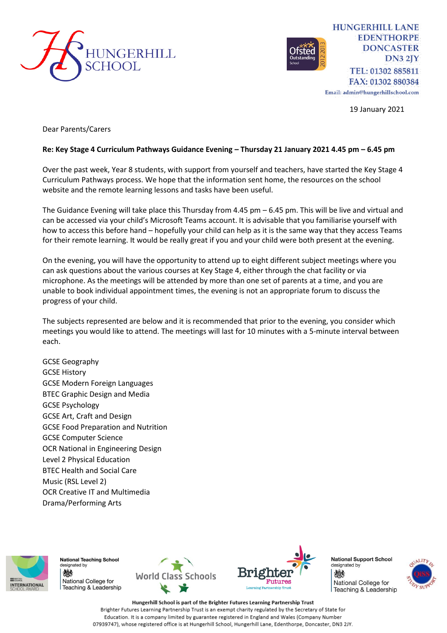



**HUNGERHILL LANE EDENTHORPE DONCASTER**  $DN32IY$ TEL: 01302 885811 FAX: 01302 880384

Email: admin@hungerhillschool.com

19 January 2021

Dear Parents/Carers

## **Re: Key Stage 4 Curriculum Pathways Guidance Evening – Thursday 21 January 2021 4.45 pm – 6.45 pm**

Over the past week, Year 8 students, with support from yourself and teachers, have started the Key Stage 4 Curriculum Pathways process. We hope that the information sent home, the resources on the school website and the remote learning lessons and tasks have been useful.

The Guidance Evening will take place this Thursday from 4.45 pm – 6.45 pm. This will be live and virtual and can be accessed via your child's Microsoft Teams account. It is advisable that you familiarise yourself with how to access this before hand – hopefully your child can help as it is the same way that they access Teams for their remote learning. It would be really great if you and your child were both present at the evening.

On the evening, you will have the opportunity to attend up to eight different subject meetings where you can ask questions about the various courses at Key Stage 4, either through the chat facility or via microphone. As the meetings will be attended by more than one set of parents at a time, and you are unable to book individual appointment times, the evening is not an appropriate forum to discuss the progress of your child.

The subjects represented are below and it is recommended that prior to the evening, you consider which meetings you would like to attend. The meetings will last for 10 minutes with a 5-minute interval between each.

GCSE Geography GCSE History GCSE Modern Foreign Languages BTEC Graphic Design and Media GCSE Psychology GCSE Art, Craft and Design GCSE Food Preparation and Nutrition GCSE Computer Science OCR National in Engineering Design Level 2 Physical Education BTEC Health and Social Care Music (RSL Level 2) OCR Creative IT and Multimedia Drama/Performing Arts



**National Teaching School** designated by 燃 National College for Feaching & Leadership





**National Support School** designated by 燃 National College for Teaching & Leadership



Hungerhill School is part of the Brighter Futures Learning Partnership Trust Brighter Futures Learning Partnership Trust is an exempt charity regulated by the Secretary of State for Education. It is a company limited by guarantee registered in England and Wales (Company Number 07939747), whose registered office is at Hungerhill School, Hungerhill Lane, Edenthorpe, Doncaster, DN3 2JY.